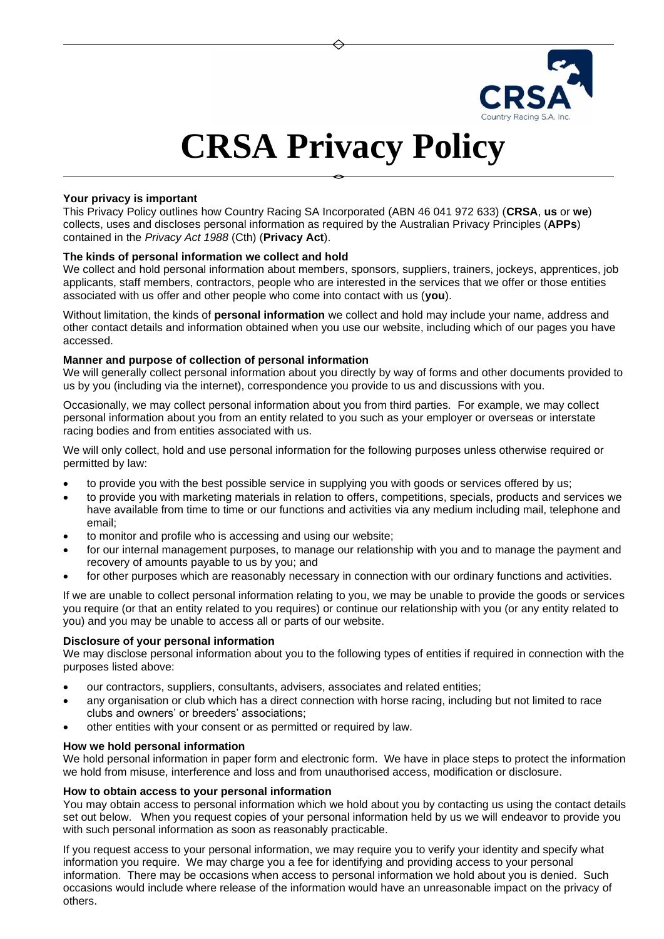

# **CRSA Privacy Policy**

## **Your privacy is important**

This Privacy Policy outlines how Country Racing SA Incorporated (ABN 46 041 972 633) (**CRSA**, **us** or **we**) collects, uses and discloses personal information as required by the Australian Privacy Principles (**APPs**) contained in the *Privacy Act 1988* (Cth) (**Privacy Act**).

## **The kinds of personal information we collect and hold**

We collect and hold personal information about members, sponsors, suppliers, trainers, jockeys, apprentices, job applicants, staff members, contractors, people who are interested in the services that we offer or those entities associated with us offer and other people who come into contact with us (**you**).

Without limitation, the kinds of **personal information** we collect and hold may include your name, address and other contact details and information obtained when you use our website, including which of our pages you have accessed.

## **Manner and purpose of collection of personal information**

We will generally collect personal information about you directly by way of forms and other documents provided to us by you (including via the internet), correspondence you provide to us and discussions with you.

Occasionally, we may collect personal information about you from third parties. For example, we may collect personal information about you from an entity related to you such as your employer or overseas or interstate racing bodies and from entities associated with us.

We will only collect, hold and use personal information for the following purposes unless otherwise required or permitted by law:

- to provide you with the best possible service in supplying you with goods or services offered by us;
- to provide you with marketing materials in relation to offers, competitions, specials, products and services we have available from time to time or our functions and activities via any medium including mail, telephone and email;
- to monitor and profile who is accessing and using our website;
- for our internal management purposes, to manage our relationship with you and to manage the payment and recovery of amounts payable to us by you; and
- for other purposes which are reasonably necessary in connection with our ordinary functions and activities.

If we are unable to collect personal information relating to you, we may be unable to provide the goods or services you require (or that an entity related to you requires) or continue our relationship with you (or any entity related to you) and you may be unable to access all or parts of our website.

## **Disclosure of your personal information**

We may disclose personal information about you to the following types of entities if required in connection with the purposes listed above:

- our contractors, suppliers, consultants, advisers, associates and related entities;
- any organisation or club which has a direct connection with horse racing, including but not limited to race clubs and owners' or breeders' associations;
- other entities with your consent or as permitted or required by law.

## **How we hold personal information**

We hold personal information in paper form and electronic form. We have in place steps to protect the information we hold from misuse, interference and loss and from unauthorised access, modification or disclosure.

## **How to obtain access to your personal information**

You may obtain access to personal information which we hold about you by contacting us using the contact details set out below. When you request copies of your personal information held by us we will endeavor to provide you with such personal information as soon as reasonably practicable.

If you request access to your personal information, we may require you to verify your identity and specify what information you require. We may charge you a fee for identifying and providing access to your personal information. There may be occasions when access to personal information we hold about you is denied. Such occasions would include where release of the information would have an unreasonable impact on the privacy of others.